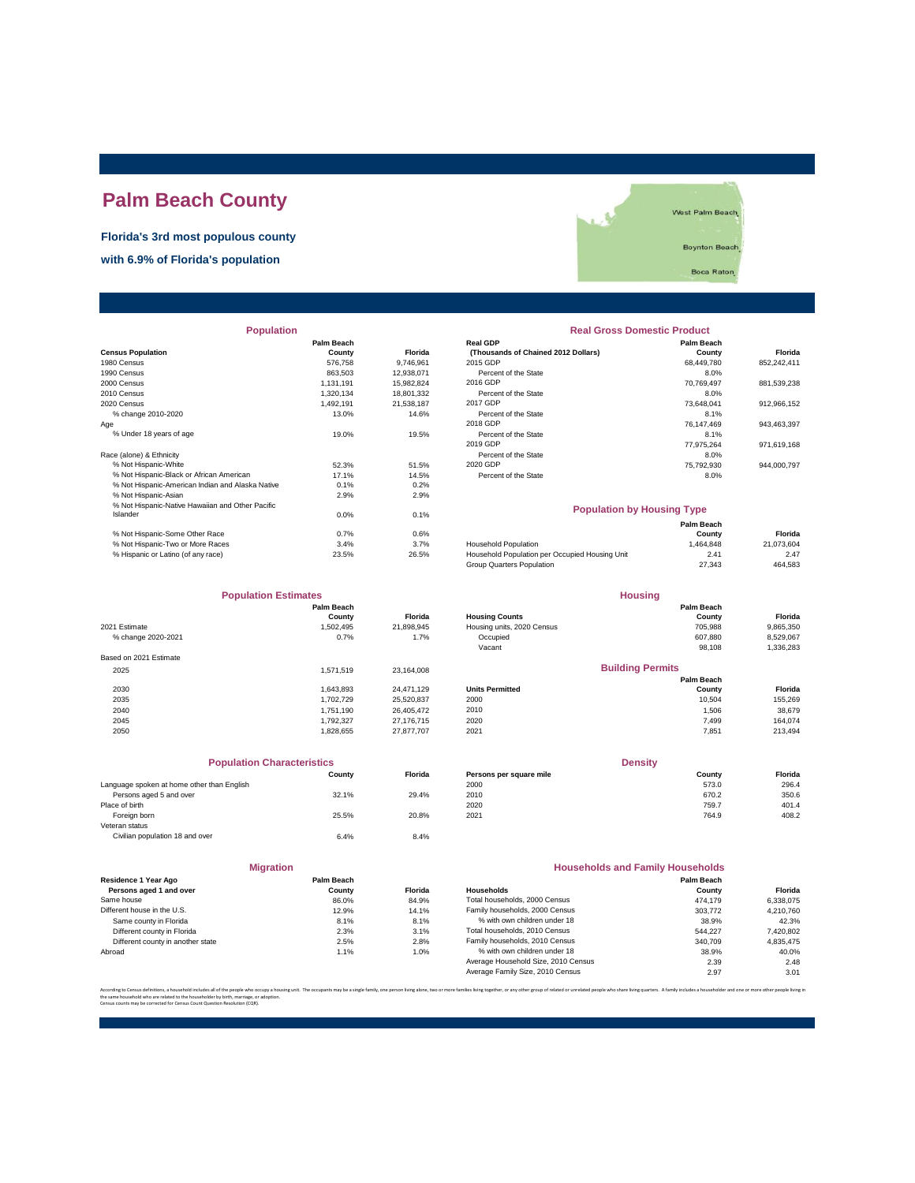## **Palm Beach County**

**Florida's 3rd most populous county**

**with 6.9% of Florida's population**



| <b>Population</b>                                |                   |                | <b>Real Gross Domestic Product</b>             |            |             |  |
|--------------------------------------------------|-------------------|----------------|------------------------------------------------|------------|-------------|--|
|                                                  | <b>Palm Beach</b> |                | <b>Real GDP</b>                                | Palm Beach |             |  |
| <b>Census Population</b>                         | County            | <b>Florida</b> | (Thousands of Chained 2012 Dollars)            | County     | Florida     |  |
| 1980 Census                                      | 576,758           | 9,746,961      | 2015 GDP                                       | 68,449,780 | 852,242,411 |  |
| 1990 Census                                      | 863,503           | 12,938,071     | Percent of the State                           | 8.0%       |             |  |
| 2000 Census                                      | 1,131,191         | 15,982,824     | 2016 GDP                                       | 70,769,497 | 881,539,238 |  |
| 2010 Census                                      | 1,320,134         | 18,801,332     | Percent of the State                           | 8.0%       |             |  |
| 2020 Census                                      | 1,492,191         | 21,538,187     | 2017 GDP                                       | 73,648,041 | 912,966,152 |  |
| % change 2010-2020                               | 13.0%             | 14.6%          | Percent of the State                           | 8.1%       |             |  |
| Age                                              |                   |                | 2018 GDP                                       | 76,147,469 | 943,463,397 |  |
| % Under 18 years of age                          | 19.0%             | 19.5%          | Percent of the State                           | 8.1%       |             |  |
|                                                  |                   |                | 2019 GDP                                       | 77,975,264 | 971,619,168 |  |
| Race (alone) & Ethnicity                         |                   |                | Percent of the State                           | 8.0%       |             |  |
| % Not Hispanic-White                             | 52.3%             | 51.5%          | 2020 GDP                                       | 75,792,930 | 944,000,797 |  |
| % Not Hispanic-Black or African American         | 17.1%             | 14.5%          | Percent of the State                           | 8.0%       |             |  |
| % Not Hispanic-American Indian and Alaska Native | 0.1%              | 0.2%           |                                                |            |             |  |
| % Not Hispanic-Asian                             | 2.9%              | 2.9%           |                                                |            |             |  |
| % Not Hispanic-Native Hawaiian and Other Pacific |                   |                | <b>Population by Housing Type</b>              |            |             |  |
| Islander                                         | $0.0\%$           | 0.1%           |                                                |            |             |  |
|                                                  |                   |                |                                                | Palm Beach |             |  |
| % Not Hispanic-Some Other Race                   | 0.7%              | 0.6%           |                                                | County     | Florida     |  |
| % Not Hispanic-Two or More Races                 | 3.4%              | 3.7%           | <b>Household Population</b>                    | 1,464,848  | 21,073,604  |  |
| % Hispanic or Latino (of any race)               | 23.5%             | 26.5%          | Household Population per Occupied Housing Unit | 2.41       | 2.47        |  |

| <b>Population</b>                                |                             |                | <b>Real Gross Domestic Product</b>                     |                      |                |  |
|--------------------------------------------------|-----------------------------|----------------|--------------------------------------------------------|----------------------|----------------|--|
| sus Population                                   | <b>Palm Beach</b><br>County | <b>Florida</b> | <b>Real GDP</b><br>(Thousands of Chained 2012 Dollars) | Palm Beach<br>County | <b>Florida</b> |  |
| 0 Census                                         | 576,758                     | 9.746.961      | 2015 GDP                                               | 68,449,780           | 852,242,411    |  |
| 0 Census                                         | 863.503                     | 12.938.071     | Percent of the State                                   | 8.0%                 |                |  |
| 0 Census                                         | 1.131.191                   | 15.982.824     | 2016 GDP                                               | 70.769.497           | 881,539,238    |  |
| 0 Census                                         | 1.320.134                   | 18.801.332     | Percent of the State                                   | 8.0%                 |                |  |
| 0 Census                                         | 1.492.191                   | 21.538.187     | 2017 GDP                                               | 73.648.041           | 912,966,152    |  |
| % change 2010-2020                               | 13.0%                       | 14.6%          | Percent of the State                                   | 8.1%                 |                |  |
|                                                  |                             |                | 2018 GDP                                               | 76.147.469           | 943.463.397    |  |
| % Under 18 years of age                          | 19.0%                       | 19.5%          | Percent of the State                                   | 8.1%                 |                |  |
|                                                  |                             |                | 2019 GDP                                               | 77.975.264           | 971.619.168    |  |
| e (alone) & Ethnicity                            |                             |                | Percent of the State                                   | 8.0%                 |                |  |
| % Not Hispanic-White                             | 52.3%                       | 51.5%          | 2020 GDP                                               | 75.792.930           | 944,000,797    |  |
| % Not Hispanic-Black or African American         | 17.1%                       | 14.5%          | Percent of the State                                   | 8.0%                 |                |  |
| % Not Hispanic-American Indian and Alaska Native | 0.1%                        | 0.2%           |                                                        |                      |                |  |

| <b>Population by Housing Type</b> |
|-----------------------------------|
| <b>Dalm Roach</b>                 |

|                                    |       |       |                                                | ганн осасн |            |
|------------------------------------|-------|-------|------------------------------------------------|------------|------------|
| % Not Hispanic-Some Other Race     | 0.7%  | 0.6%  |                                                | County     | Florida    |
| % Not Hispanic-Two or More Races   | 3.4%  | 3.7%  | <b>Household Population</b>                    | 1.464.848  | 21.073.604 |
| % Hispanic or Latino (of any race) | 23.5% | 26.5% | Household Population per Occupied Housing Unit | 2.41       | 2.47       |
|                                    |       |       | Group Quarters Population                      | 27.343     | 464.583    |
|                                    |       |       |                                                |            |            |

**Housing**

| <b>Population Estimates</b> |            |            | <b>Housing</b>             |                         |           |
|-----------------------------|------------|------------|----------------------------|-------------------------|-----------|
|                             | Palm Beach |            |                            | Palm Beach              |           |
|                             | County     | Florida    | <b>Housing Counts</b>      | County                  | Florida   |
| 2021 Estimate               | 1,502,495  | 21,898,945 | Housing units, 2020 Census | 705.988                 | 9,865,350 |
| % change 2020-2021          | 0.7%       | 1.7%       | Occupied                   | 607.880                 | 8,529,067 |
|                             |            |            | Vacant                     | 98,108                  | 1,336,283 |
| Based on 2021 Estimate      |            |            |                            |                         |           |
| 2025                        | 1.571.519  | 23.164.008 |                            | <b>Building Permits</b> |           |
|                             |            |            |                            | Palm Beach              |           |
| 2030                        | 1.643.893  | 24.471.129 | <b>Units Permitted</b>     | County                  | Florida   |
| 2035                        | 1.702.729  | 25,520,837 | 2000                       | 10.504                  | 155,269   |
| 2040                        | 1.751.190  | 26,405,472 | 2010                       | 1.506                   | 38,679    |
| 2045                        | 1.792.327  | 27.176.715 | 2020                       | 7.499                   | 164,074   |
| 2050                        | 1,828,655  | 27,877,707 | 2021                       | 7,851                   | 213,494   |
|                             |            |            |                            |                         |           |

| <b>Population Characteristics</b>          |        |         | <b>Density</b>          |        |         |
|--------------------------------------------|--------|---------|-------------------------|--------|---------|
|                                            | County | Florida | Persons per square mile | County | Florida |
| Language spoken at home other than English |        |         | 2000                    | 573.0  | 296.4   |
| Persons aged 5 and over                    | 32.1%  | 29.4%   | 2010                    | 670.2  | 350.6   |
| Place of birth                             |        |         | 2020                    | 759.7  | 401.4   |
| Foreign born                               | 25.5%  | 20.8%   | 2021                    | 764.9  | 408.2   |
| Veteran status                             |        |         |                         |        |         |
| Civilian population 18 and over            | 6.4%   | 8.4%    |                         |        |         |

| Foreign born                    | 25.5%      | 20.8%          | 2021                                    | 764.9      | 408.2     |  |
|---------------------------------|------------|----------------|-----------------------------------------|------------|-----------|--|
| Veteran status                  |            |                |                                         |            |           |  |
| Civilian population 18 and over | 6.4%       | 8.4%           |                                         |            |           |  |
|                                 |            |                |                                         |            |           |  |
| <b>Migration</b>                |            |                | <b>Households and Family Households</b> |            |           |  |
| Residence 1 Year Ago            | Palm Beach |                |                                         | Palm Beach |           |  |
| Persons aged 1 and over         | County     | <b>Florida</b> | <b>Households</b>                       | County     | Florida   |  |
| Same house                      | 86.0%      | 84.9%          | Total households, 2000 Census           | 474.179    | 6,338,075 |  |
| Different house in the U.S.     | 12.9%      | 14.1%          | Family households, 2000 Census          | 303,772    | 4,210,760 |  |
| Same county in Florida          | 8.1%       | 8.1%           | % with own children under 18            | 38.9%      | 42.3%     |  |
|                                 |            |                |                                         |            |           |  |

|                     |            |                | ---------                  |                         |           |
|---------------------|------------|----------------|----------------------------|-------------------------|-----------|
|                     | Palm Beach |                |                            | Palm Beach              |           |
|                     | County     | <b>Florida</b> | <b>Housing Counts</b>      | County                  | Florida   |
| 1 Estimate          | 1.502.495  | 21.898.945     | Housing units, 2020 Census | 705.988                 | 9,865,350 |
| % change 2020-2021  | 0.7%       | 1.7%           | Occupied                   | 607.880                 | 8,529,067 |
|                     |            |                | Vacant                     | 98,108                  | 1,336,283 |
| ed on 2021 Estimate |            |                |                            |                         |           |
| 2025                | 1.571.519  | 23.164.008     |                            | <b>Building Permits</b> |           |
|                     |            |                |                            | Palm Beach              |           |
| 2030                | 1.643.893  | 24.471.129     | <b>Units Permitted</b>     | County                  | Florida   |
| 2035                | 1.702.729  | 25.520.837     | 2000                       | 10.504                  | 155,269   |
| 2040                | 1.751.190  | 26,405,472     | 2010                       | 1,506                   | 38,679    |
| 2045                | 1.792.327  | 27.176.715     | 2020                       | 7.499                   | 164,074   |
| 2050                | 1,828,655  | 27,877,707     | 2021                       | 7,851                   | 213,494   |
|                     |            |                |                            |                         |           |

| <b>Population Characteristics</b>       |        |                | <b>Density</b>          |        |         |
|-----------------------------------------|--------|----------------|-------------------------|--------|---------|
|                                         | County | <b>Florida</b> | Persons per square mile | Countv | Florida |
| quage spoken at home other than English |        |                | 2000                    | 573.0  | 296.4   |
| Persons aged 5 and over                 | 32.1%  | 29.4%          | 2010                    | 670.2  | 350.6   |
| e of birth:                             |        |                | 2020                    | 759.7  | 401.4   |
| Foreign born                            | 25.5%  | 20.8%          | 2021                    | 764.9  | 408.2   |
| aran etatue.                            |        |                |                         |        |         |

| <b>Migration</b>                                |                      |                | <b>Households and Family Households</b> |                             |           |
|-------------------------------------------------|----------------------|----------------|-----------------------------------------|-----------------------------|-----------|
| Residence 1 Year Ago<br>Persons aged 1 and over | Palm Beach<br>County | <b>Florida</b> | <b>Households</b>                       | <b>Palm Beach</b><br>County | Florida   |
| Same house                                      | 86.0%                | 84.9%          | Total households, 2000 Census           | 474.179                     | 6.338.075 |
| Different house in the U.S.                     | 12.9%                | 14.1%          | Family households, 2000 Census          | 303,772                     | 4.210.760 |
| Same county in Florida                          | 8.1%                 | 8.1%           | % with own children under 18            | 38.9%                       | 42.3%     |
| Different county in Florida                     | 2.3%                 | 3.1%           | Total households, 2010 Census           | 544.227                     | 7.420.802 |
| Different county in another state               | 2.5%                 | 2.8%           | Family households, 2010 Census          | 340,709                     | 4.835.475 |
| Abroad                                          | 1.1%                 | 1.0%           | % with own children under 18            | 38.9%                       | 40.0%     |
|                                                 |                      |                | Average Household Size, 2010 Census     | 2.39                        | 2.48      |
|                                                 |                      |                | Average Family Size, 2010 Census        | 2.97                        | 3.01      |
|                                                 |                      |                |                                         |                             |           |

According to Census definitions, a household includes all of the people who occupy a housing unit. The occupants may be a single family, one person living back, two or more families living together, or any other group of r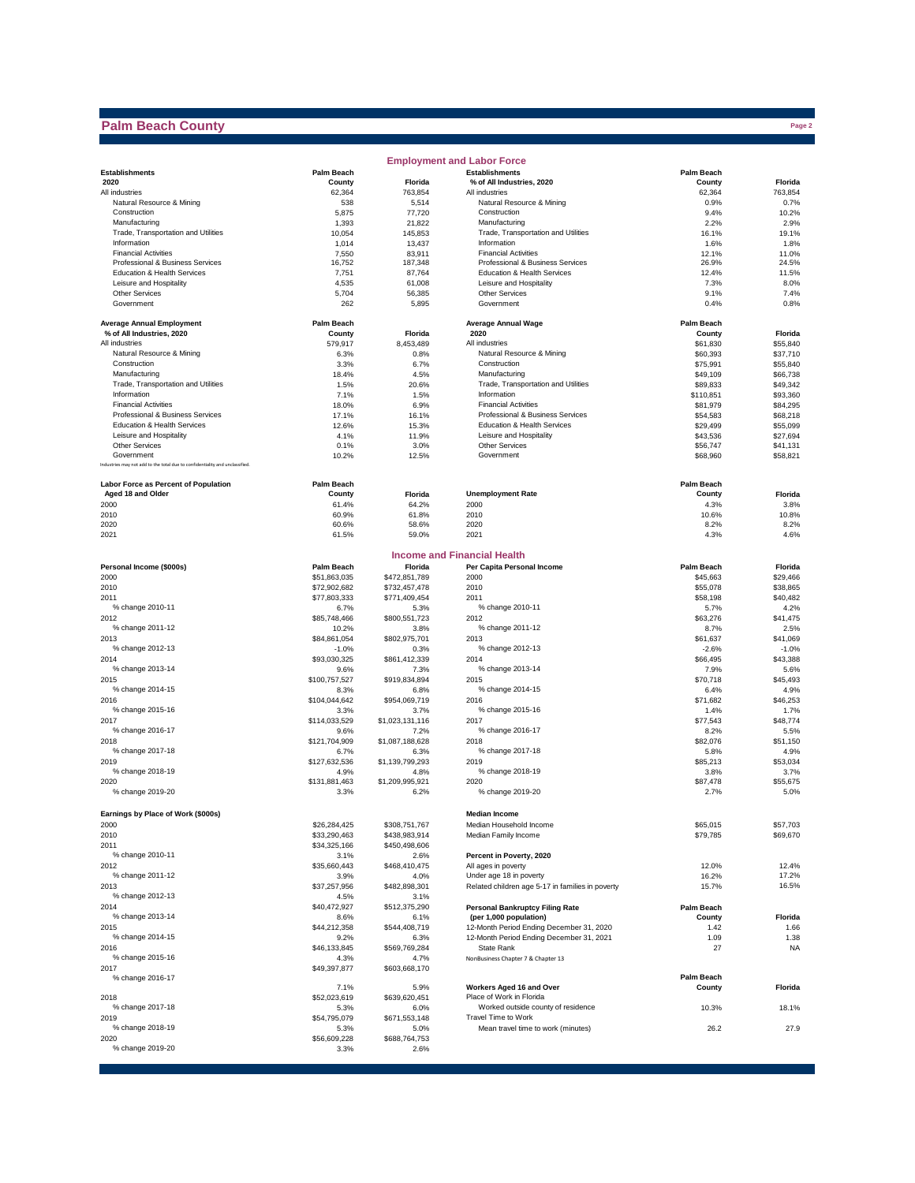## **Palm Beach County**

|                                                                              |                         |                         | <b>Employment and Labor Force</b>                                           |                      |                      |
|------------------------------------------------------------------------------|-------------------------|-------------------------|-----------------------------------------------------------------------------|----------------------|----------------------|
| <b>Establishments</b>                                                        | <b>Palm Beach</b>       |                         | <b>Establishments</b>                                                       | <b>Palm Beach</b>    |                      |
| 2020                                                                         | County                  | Florida                 | % of All Industries, 2020                                                   | County               | Florida              |
| All industries<br>Natural Resource & Mining                                  | 62,364                  | 763,854                 | All industries                                                              | 62,364               | 763,854              |
| Construction                                                                 | 538<br>5,875            | 5,514<br>77,720         | Natural Resource & Mining<br>Construction                                   | 0.9%<br>9.4%         | 0.7%<br>10.2%        |
| Manufacturing                                                                | 1,393                   | 21,822                  | Manufacturing                                                               | 2.2%                 | 2.9%                 |
| Trade, Transportation and Utilities                                          | 10,054                  | 145,853                 | Trade, Transportation and Utilities                                         | 16.1%                | 19.1%                |
| Information                                                                  | 1,014                   | 13,437                  | Information                                                                 | 1.6%                 | 1.8%                 |
| <b>Financial Activities</b>                                                  | 7,550                   | 83,911                  | <b>Financial Activities</b>                                                 | 12.1%                | 11.0%                |
| Professional & Business Services                                             | 16,752                  | 187,348                 | Professional & Business Services                                            | 26.9%                | 24.5%                |
| Education & Health Services                                                  | 7,751                   | 87,764                  | Education & Health Services                                                 | 12.4%                | 11.5%                |
| Leisure and Hospitality                                                      | 4,535                   | 61,008                  | Leisure and Hospitality                                                     | 7.3%                 | 8.0%                 |
| <b>Other Services</b><br>Government                                          | 5,704<br>262            | 56,385                  | <b>Other Services</b><br>Government                                         | 9.1%                 | 7.4%<br>0.8%         |
|                                                                              |                         | 5,895                   |                                                                             | 0.4%                 |                      |
| <b>Average Annual Employment</b>                                             | Palm Beach              |                         | <b>Average Annual Wage</b>                                                  | <b>Palm Beach</b>    |                      |
| % of All Industries, 2020                                                    | County                  | Florida                 | 2020                                                                        | County               | Florida              |
| All industries                                                               | 579,917                 | 8,453,489               | All industries                                                              | \$61,830             | \$55,840             |
| Natural Resource & Mining                                                    | 6.3%                    | 0.8%                    | Natural Resource & Mining                                                   | \$60,393             | \$37,710             |
| Construction<br>Manufacturing                                                | 3.3%<br>18.4%           | 6.7%<br>4.5%            | Construction<br>Manufacturing                                               | \$75,991<br>\$49,109 | \$55,840<br>\$66,738 |
| Trade, Transportation and Utilities                                          | 1.5%                    | 20.6%                   | Trade, Transportation and Utilities                                         | \$89,833             | \$49,342             |
| Information                                                                  | 7.1%                    | 1.5%                    | Information                                                                 | \$110,851            | \$93,360             |
| <b>Financial Activities</b>                                                  | 18.0%                   | 6.9%                    | <b>Financial Activities</b>                                                 | \$81,979             | \$84,295             |
| Professional & Business Services                                             | 17.1%                   | 16.1%                   | Professional & Business Services                                            | \$54,583             | \$68,218             |
| Education & Health Services                                                  | 12.6%                   | 15.3%                   | Education & Health Services                                                 | \$29,499             | \$55,099             |
| Leisure and Hospitality                                                      | 4.1%                    | 11.9%                   | Leisure and Hospitality                                                     | \$43,536             | \$27,694             |
| <b>Other Services</b>                                                        | 0.1%                    | 3.0%                    | <b>Other Services</b>                                                       | \$56,747             | \$41,131             |
| Government                                                                   | 10.2%                   | 12.5%                   | Government                                                                  | \$68,960             | \$58,821             |
| Industries may not add to the total due to confidentiality and unclassified. |                         |                         |                                                                             |                      |                      |
| <b>Labor Force as Percent of Population</b>                                  | <b>Palm Beach</b>       |                         |                                                                             | <b>Palm Beach</b>    |                      |
| Aged 18 and Older                                                            | County                  | Florida                 | <b>Unemployment Rate</b>                                                    | County               | Florida              |
| 2000                                                                         | 61.4%                   | 64.2%                   | 2000                                                                        | 4.3%                 | 3.8%                 |
| 2010                                                                         | 60.9%                   | 61.8%                   | 2010                                                                        | 10.6%                | 10.8%                |
| 2020<br>2021                                                                 | 60.6%<br>61.5%          | 58.6%<br>59.0%          | 2020<br>2021                                                                | 8.2%<br>4.3%         | 8.2%<br>4.6%         |
|                                                                              |                         |                         |                                                                             |                      |                      |
|                                                                              |                         |                         | <b>Income and Financial Health</b>                                          |                      |                      |
| Personal Income (\$000s)                                                     | <b>Palm Beach</b>       | Florida                 | Per Capita Personal Income                                                  | <b>Palm Beach</b>    | Florida              |
| 2000                                                                         | \$51.863.035            | \$472,851,789           | 2000                                                                        | \$45,663             | \$29,466             |
| 2010                                                                         | \$72,902,682            | \$732,457,478           | 2010                                                                        | \$55,078             | \$38,865             |
| 2011                                                                         | \$77,803,333            | \$771,409,454           | 2011                                                                        | \$58,198             | \$40,482             |
| % change 2010-11                                                             | 6.7%                    | 5.3%                    | % change 2010-11                                                            | 5.7%                 | 4.2%                 |
| 2012                                                                         | \$85,748,466            | \$800,551,723           | 2012                                                                        | \$63,276             | \$41,475             |
| % change 2011-12                                                             | 10.2%                   | 3.8%                    | % change 2011-12                                                            | 8.7%                 | 2.5%                 |
| 2013<br>% change 2012-13                                                     | \$84,861,054            | \$802,975,701           | 2013<br>% change 2012-13                                                    | \$61,637             | \$41,069             |
| 2014                                                                         | $-1.0%$<br>\$93,030,325 | 0.3%<br>\$861,412,339   | 2014                                                                        | $-2.6%$<br>\$66,495  | $-1.0%$<br>\$43,388  |
| % change 2013-14                                                             | 9.6%                    | 7.3%                    | % change 2013-14                                                            | 7.9%                 | 5.6%                 |
| 2015                                                                         | \$100,757,527           | \$919,834,894           | 2015                                                                        | \$70,718             | \$45,493             |
| % change 2014-15                                                             | 8.3%                    | 6.8%                    | % change 2014-15                                                            | 6.4%                 | 4.9%                 |
| 2016                                                                         | \$104,044,642           | \$954,069,719           | 2016                                                                        | \$71,682             | \$46,253             |
| % change 2015-16                                                             | 3.3%                    | 3.7%                    | % change 2015-16                                                            | 1.4%                 | 1.7%                 |
| 2017                                                                         | \$114,033,529           | \$1,023,131,116         | 2017                                                                        | \$77,543             | \$48,774             |
| % change 2016-17                                                             | 9.6%                    | 7.2%                    | % change 2016-17                                                            | 8.2%                 | 5.5%                 |
| 2018                                                                         | \$121,704,909           | \$1,087,188,628         | 2018                                                                        | \$82,076             | \$51.150             |
| % change 2017-18                                                             | 6.7%                    | 6.3%                    | % change 2017-18                                                            | 5.8%                 | 4.9%                 |
| 2019                                                                         | \$127,632,536           | \$1,139,799,293         | 2019                                                                        | \$85,213             | \$53.034             |
| % change 2018-19                                                             | 4.9%                    | 4.8%                    | % change 2018-19                                                            | 3.8%                 | 3.7%                 |
| 2020<br>% change 2019-20                                                     | \$131,881,463<br>3.3%   | \$1,209,995.921<br>6.2% | 2020<br>% change 2019-20                                                    | \$87,478<br>2.7%     | \$55,675<br>5.0%     |
|                                                                              |                         |                         |                                                                             |                      |                      |
| Earnings by Place of Work (\$000s)                                           |                         |                         | <b>Median Income</b>                                                        |                      |                      |
| 2000                                                                         | \$26,284,425            | \$308,751,767           | Median Household Income                                                     | \$65,015             | \$57,703             |
| 2010                                                                         | \$33,290,463            | \$438,983,914           | Median Family Income                                                        | \$79,785             | \$69,670             |
| 2011                                                                         | \$34,325,166            | \$450,498,606           |                                                                             |                      |                      |
| % change 2010-11                                                             | 3.1%                    | 2.6%                    | Percent in Poverty, 2020                                                    |                      |                      |
| 2012                                                                         | \$35,660,443            | \$468,410,475           | All ages in poverty                                                         | 12.0%                | 12.4%                |
| % change 2011-12<br>2013                                                     | 3.9%<br>\$37,257,956    | 4.0%<br>\$482,898,301   | Under age 18 in poverty<br>Related children age 5-17 in families in poverty | 16.2%<br>15.7%       | 17.2%<br>16.5%       |
| % change 2012-13                                                             | 4.5%                    | 3.1%                    |                                                                             |                      |                      |
| 2014                                                                         | \$40,472,927            | \$512,375,290           | <b>Personal Bankruptcy Filing Rate</b>                                      | Palm Beach           |                      |
| % change 2013-14                                                             | 8.6%                    | 6.1%                    | (per 1,000 population)                                                      | County               | Florida              |
| 2015                                                                         | \$44,212,358            | \$544,408,719           | 12-Month Period Ending December 31, 2020                                    | 1.42                 | 1.66                 |
| % change 2014-15                                                             | 9.2%                    | 6.3%                    | 12-Month Period Ending December 31, 2021                                    | 1.09                 | 1.38                 |
| 2016                                                                         | \$46,133,845            | \$569,769,284           | State Rank                                                                  | 27                   | <b>NA</b>            |
| % change 2015-16                                                             | 4.3%                    | 4.7%                    | NonBusiness Chapter 7 & Chapter 13                                          |                      |                      |
| 2017                                                                         | \$49,397,877            | \$603,668,170           |                                                                             |                      |                      |
| % change 2016-17                                                             | 7.1%                    | 5.9%                    | Workers Aged 16 and Over                                                    | Palm Beach<br>County | Florida              |
| 2018                                                                         | \$52,023,619            | \$639,620,451           | Place of Work in Florida                                                    |                      |                      |
| % change 2017-18                                                             | 5.3%                    | 6.0%                    | Worked outside county of residence                                          | 10.3%                | 18.1%                |
| 2019                                                                         | \$54,795,079            | \$671,553,148           | Travel Time to Work                                                         |                      |                      |
| % change 2018-19                                                             | 5.3%                    | 5.0%                    | Mean travel time to work (minutes)                                          | 26.2                 | 27.9                 |
| 2020                                                                         | \$56,609,228            | \$688,764,753           |                                                                             |                      |                      |
| % change 2019-20                                                             | 3.3%                    | 2.6%                    |                                                                             |                      |                      |